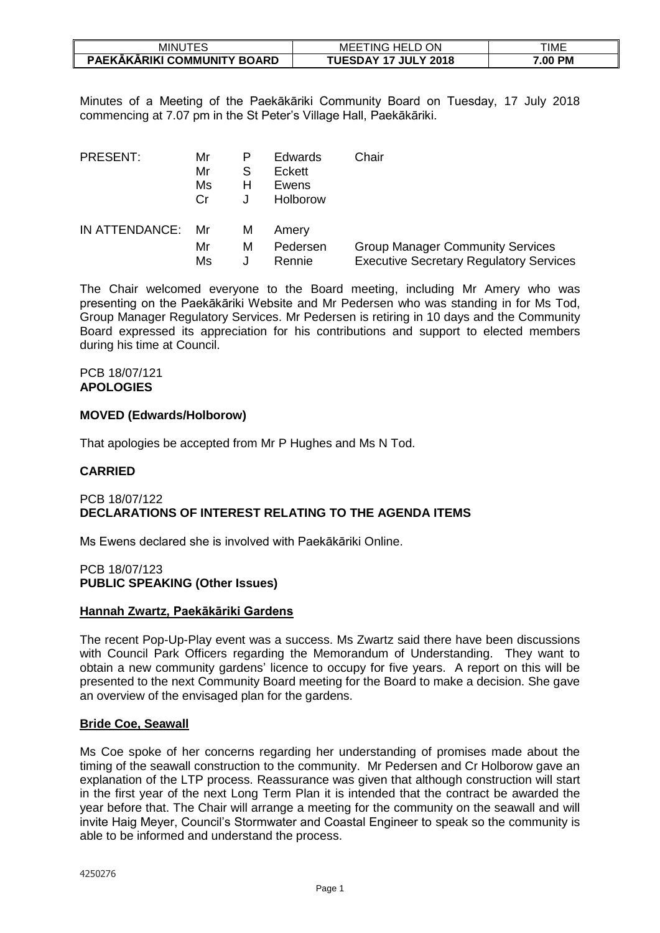| JTES<br><b>MINUT</b>        | <b>HELD</b><br>ON<br>MEE<br>i ING. | TIME    |
|-----------------------------|------------------------------------|---------|
| PAEKĀKĀRIKI COMMUNITY BOARD | <b>TUESDAY 17 JULY 2018</b>        | 7.00 PM |

Minutes of a Meeting of the Paekākāriki Community Board on Tuesday, 17 July 2018 commencing at 7.07 pm in the St Peter's Village Hall, Paekākāriki.

| <b>PRESENT:</b>   | Mr<br>Mr<br>Ms<br>Cr | S<br>H | Edwards<br>Eckett<br>Ewens<br>Holborow | Chair                                          |
|-------------------|----------------------|--------|----------------------------------------|------------------------------------------------|
| IN ATTENDANCE: Mr |                      | м      | Amery                                  |                                                |
|                   | Mr                   | М      | Pedersen                               | <b>Group Manager Community Services</b>        |
|                   | Ms                   |        | Rennie                                 | <b>Executive Secretary Regulatory Services</b> |

The Chair welcomed everyone to the Board meeting, including Mr Amery who was presenting on the Paekākāriki Website and Mr Pedersen who was standing in for Ms Tod, Group Manager Regulatory Services. Mr Pedersen is retiring in 10 days and the Community Board expressed its appreciation for his contributions and support to elected members during his time at Council.

#### PCB 18/07/121 **APOLOGIES**

# **MOVED (Edwards/Holborow)**

That apologies be accepted from Mr P Hughes and Ms N Tod.

### **CARRIED**

# PCB 18/07/122 **DECLARATIONS OF INTEREST RELATING TO THE AGENDA ITEMS**

Ms Ewens declared she is involved with Paekākāriki Online.

#### PCB 18/07/123 **PUBLIC SPEAKING (Other Issues)**

# **Hannah Zwartz, Paekākāriki Gardens**

The recent Pop-Up-Play event was a success. Ms Zwartz said there have been discussions with Council Park Officers regarding the Memorandum of Understanding. They want to obtain a new community gardens' licence to occupy for five years. A report on this will be presented to the next Community Board meeting for the Board to make a decision. She gave an overview of the envisaged plan for the gardens.

#### **Bride Coe, Seawall**

Ms Coe spoke of her concerns regarding her understanding of promises made about the timing of the seawall construction to the community. Mr Pedersen and Cr Holborow gave an explanation of the LTP process. Reassurance was given that although construction will start in the first year of the next Long Term Plan it is intended that the contract be awarded the year before that. The Chair will arrange a meeting for the community on the seawall and will invite Haig Meyer, Council's Stormwater and Coastal Engineer to speak so the community is able to be informed and understand the process.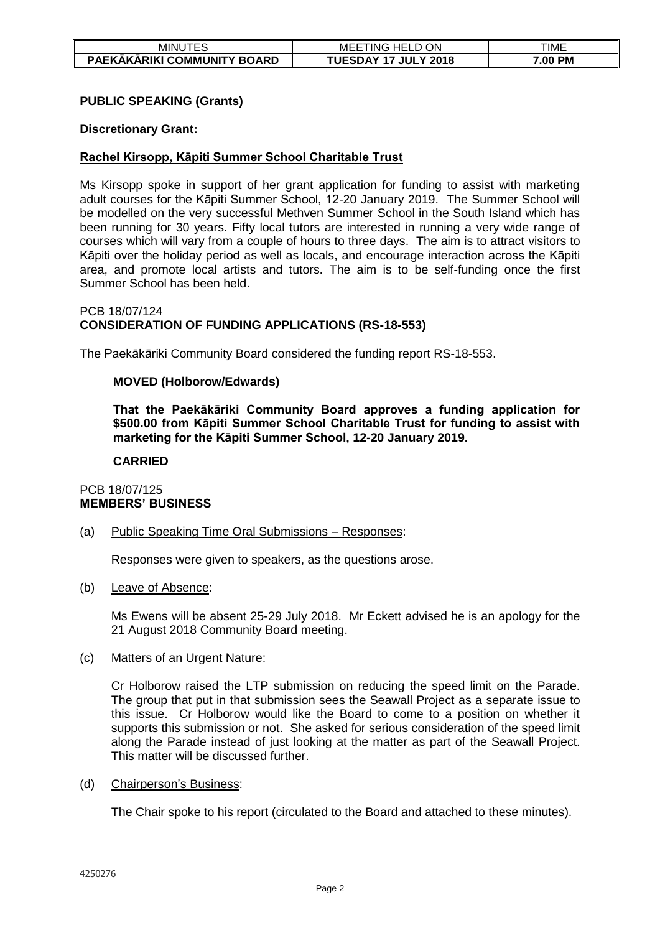| <b>MINU</b><br>-                        | ON<br>$\overline{\phantom{a}}$<br>HFI<br>MEE<br>ING<br>----   | TIME             |
|-----------------------------------------|---------------------------------------------------------------|------------------|
| PAEKĀKĀRIKI COMMUNITY I<br><b>BOARD</b> | <b>UESD.</b><br><b>JULY 2018</b><br>17<br>$\mathbf{A}$<br>UC, | <b>PM</b><br>.00 |

# **PUBLIC SPEAKING (Grants)**

#### **Discretionary Grant:**

#### **Rachel Kirsopp, Kāpiti Summer School Charitable Trust**

Ms Kirsopp spoke in support of her grant application for funding to assist with marketing adult courses for the Kāpiti Summer School, 12-20 January 2019. The Summer School will be modelled on the very successful Methven Summer School in the South Island which has been running for 30 years. Fifty local tutors are interested in running a very wide range of courses which will vary from a couple of hours to three days. The aim is to attract visitors to Kāpiti over the holiday period as well as locals, and encourage interaction across the Kāpiti area, and promote local artists and tutors. The aim is to be self-funding once the first Summer School has been held.

#### PCB 18/07/124 **CONSIDERATION OF FUNDING APPLICATIONS (RS-18-553)**

The Paekākāriki Community Board considered the funding report RS-18-553.

#### **MOVED (Holborow/Edwards)**

**That the Paekākāriki Community Board approves a funding application for \$500.00 from Kāpiti Summer School Charitable Trust for funding to assist with marketing for the Kāpiti Summer School, 12-20 January 2019.**

#### **CARRIED**

#### PCB 18/07/125 **MEMBERS' BUSINESS**

#### (a) Public Speaking Time Oral Submissions – Responses:

Responses were given to speakers, as the questions arose.

(b) Leave of Absence:

Ms Ewens will be absent 25-29 July 2018. Mr Eckett advised he is an apology for the 21 August 2018 Community Board meeting.

#### (c) Matters of an Urgent Nature:

Cr Holborow raised the LTP submission on reducing the speed limit on the Parade. The group that put in that submission sees the Seawall Project as a separate issue to this issue. Cr Holborow would like the Board to come to a position on whether it supports this submission or not. She asked for serious consideration of the speed limit along the Parade instead of just looking at the matter as part of the Seawall Project. This matter will be discussed further.

#### (d) Chairperson's Business:

The Chair spoke to his report (circulated to the Board and attached to these minutes).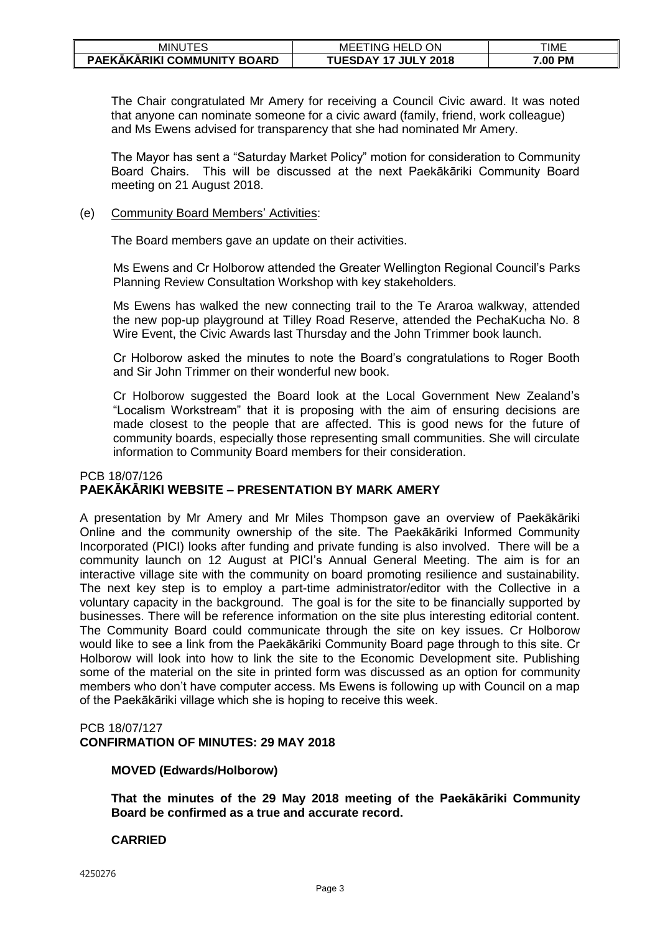| MINU.<br>.<br>└                    | ON<br>`HELL<br>MEE<br>-ING  | TIME              |
|------------------------------------|-----------------------------|-------------------|
| <b>PAEKAKARIKI COMMUNITY BOARD</b> | TUESDAY<br><b>JULY 2018</b> | 7.00<br><b>PM</b> |

The Chair congratulated Mr Amery for receiving a Council Civic award. It was noted that anyone can nominate someone for a civic award (family, friend, work colleague) and Ms Ewens advised for transparency that she had nominated Mr Amery.

The Mayor has sent a "Saturday Market Policy" motion for consideration to Community Board Chairs. This will be discussed at the next Paekākāriki Community Board meeting on 21 August 2018.

# (e) Community Board Members' Activities:

The Board members gave an update on their activities.

Ms Ewens and Cr Holborow attended the Greater Wellington Regional Council's Parks Planning Review Consultation Workshop with key stakeholders.

Ms Ewens has walked the new connecting trail to the Te Araroa walkway, attended the new pop-up playground at Tilley Road Reserve, attended the PechaKucha No. 8 Wire Event, the Civic Awards last Thursday and the John Trimmer book launch.

Cr Holborow asked the minutes to note the Board's congratulations to Roger Booth and Sir John Trimmer on their wonderful new book.

Cr Holborow suggested the Board look at the Local Government New Zealand's "Localism Workstream" that it is proposing with the aim of ensuring decisions are made closest to the people that are affected. This is good news for the future of community boards, especially those representing small communities. She will circulate information to Community Board members for their consideration.

#### PCB 18/07/126 **PAEKĀKĀRIKI WEBSITE – PRESENTATION BY MARK AMERY**

A presentation by Mr Amery and Mr Miles Thompson gave an overview of Paekākāriki Online and the community ownership of the site. The Paekākāriki Informed Community Incorporated (PICI) looks after funding and private funding is also involved. There will be a community launch on 12 August at PICI's Annual General Meeting. The aim is for an interactive village site with the community on board promoting resilience and sustainability. The next key step is to employ a part-time administrator/editor with the Collective in a voluntary capacity in the background. The goal is for the site to be financially supported by businesses. There will be reference information on the site plus interesting editorial content. The Community Board could communicate through the site on key issues. Cr Holborow would like to see a link from the Paekākāriki Community Board page through to this site. Cr Holborow will look into how to link the site to the Economic Development site. Publishing some of the material on the site in printed form was discussed as an option for community members who don't have computer access. Ms Ewens is following up with Council on a map of the Paekākāriki village which she is hoping to receive this week.

# PCB 18/07/127

**CONFIRMATION OF MINUTES: 29 MAY 2018**

#### **MOVED (Edwards/Holborow)**

**That the minutes of the 29 May 2018 meeting of the Paekākāriki Community Board be confirmed as a true and accurate record.** 

#### **CARRIED**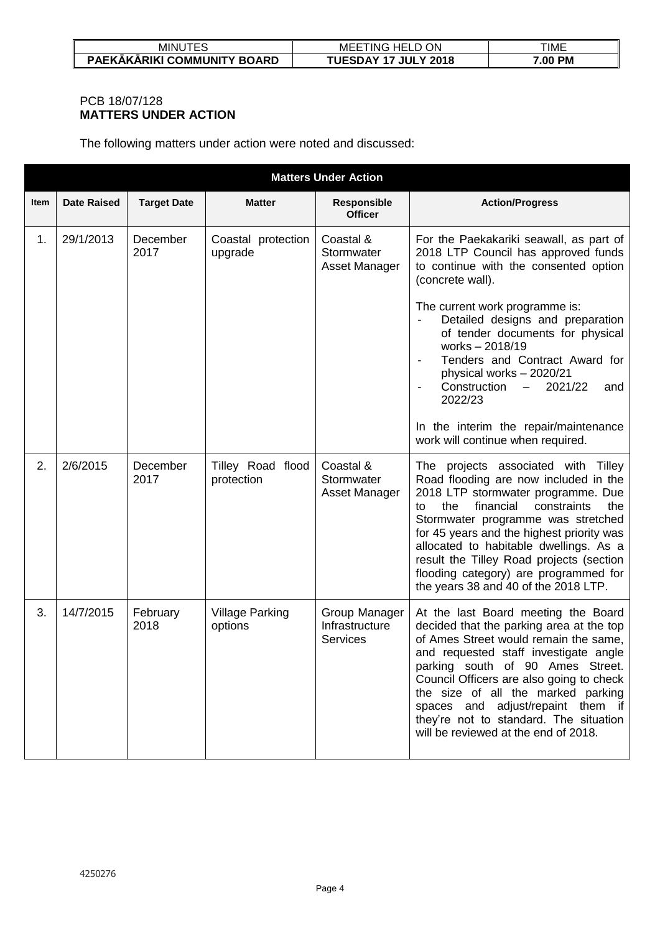| VIINU                              | ON<br>MEE<br>. HHL .<br>. ING               | TIME    |
|------------------------------------|---------------------------------------------|---------|
| <b>PAEKAKARIKI COMMUNITY BOARD</b> | <b>HESDAY</b><br><b>17 JULY 2018</b><br>- 7 | 7.00 PM |

# PCB 18/07/128 **MATTERS UNDER ACTION**

The following matters under action were noted and discussed:

|      | <b>Matters Under Action</b> |                    |                                   |                                                    |                                                                                                                                                                                                                                                                                                                                                                                                                                                                                                    |  |  |
|------|-----------------------------|--------------------|-----------------------------------|----------------------------------------------------|----------------------------------------------------------------------------------------------------------------------------------------------------------------------------------------------------------------------------------------------------------------------------------------------------------------------------------------------------------------------------------------------------------------------------------------------------------------------------------------------------|--|--|
| Item | <b>Date Raised</b>          | <b>Target Date</b> | <b>Matter</b>                     | Responsible<br><b>Officer</b>                      | <b>Action/Progress</b>                                                                                                                                                                                                                                                                                                                                                                                                                                                                             |  |  |
| 1.   | 29/1/2013                   | December<br>2017   | Coastal protection<br>upgrade     | Coastal &<br>Stormwater<br>Asset Manager           | For the Paekakariki seawall, as part of<br>2018 LTP Council has approved funds<br>to continue with the consented option<br>(concrete wall).<br>The current work programme is:<br>Detailed designs and preparation<br>of tender documents for physical<br>works-2018/19<br>Tenders and Contract Award for<br>physical works - 2020/21<br>Construction<br>2021/22<br>$-$<br>and<br>$\overline{\phantom{a}}$<br>2022/23<br>In the interim the repair/maintenance<br>work will continue when required. |  |  |
| 2.   | 2/6/2015                    | December<br>2017   | Tilley Road flood<br>protection   | Coastal &<br>Stormwater<br>Asset Manager           | The projects associated with<br>Tilley<br>Road flooding are now included in the<br>2018 LTP stormwater programme. Due<br>financial<br>constraints<br>the<br>the<br>to<br>Stormwater programme was stretched<br>for 45 years and the highest priority was<br>allocated to habitable dwellings. As a<br>result the Tilley Road projects (section<br>flooding category) are programmed for<br>the years 38 and 40 of the 2018 LTP.                                                                    |  |  |
| 3.   | 14/7/2015                   | February<br>2018   | <b>Village Parking</b><br>options | Group Manager<br>Infrastructure<br><b>Services</b> | At the last Board meeting the Board<br>decided that the parking area at the top<br>of Ames Street would remain the same,<br>and requested staff investigate angle<br>parking south of 90 Ames Street.<br>Council Officers are also going to check<br>the size of all the marked parking<br>spaces and adjust/repaint them if<br>they're not to standard. The situation<br>will be reviewed at the end of 2018.                                                                                     |  |  |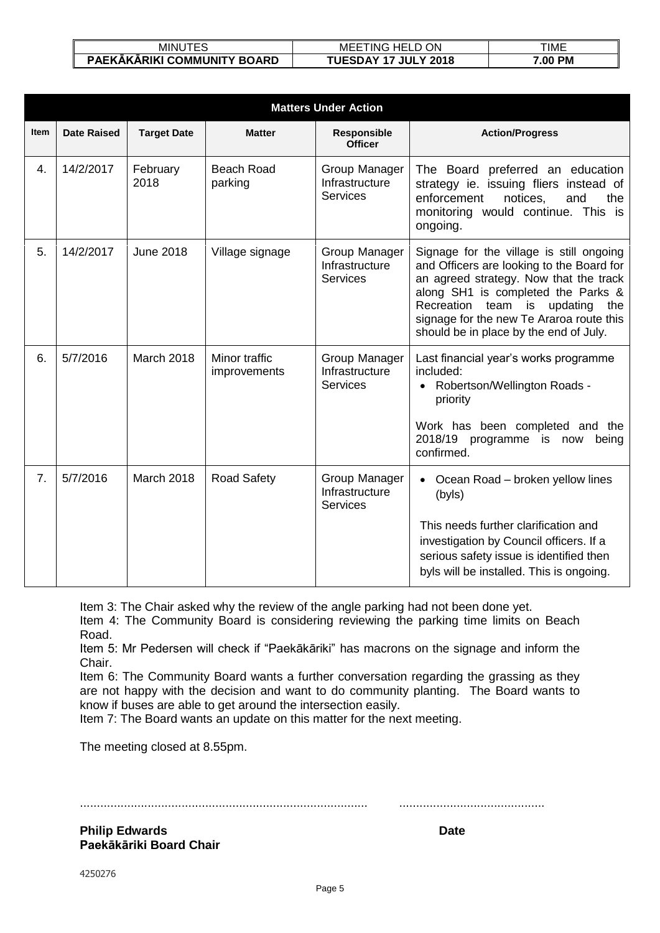| MINU<br><u>.</u><br>∟ພ                             | ON<br>MEE <sup>-</sup><br>$\cap$ HELL<br>TNG.<br>. U | TIME    |
|----------------------------------------------------|------------------------------------------------------|---------|
| .KĀKĀRIKI COMMUNITY<br><b>PAFK</b><br><b>BOARD</b> | JUL.<br>$Y$ 2018                                     | 7.00 PM |

| <b>Matters Under Action</b> |                    |                    |                               |                                                    |                                                                                                                                                                                                                                                                                                            |  |  |
|-----------------------------|--------------------|--------------------|-------------------------------|----------------------------------------------------|------------------------------------------------------------------------------------------------------------------------------------------------------------------------------------------------------------------------------------------------------------------------------------------------------------|--|--|
| Item                        | <b>Date Raised</b> | <b>Target Date</b> | <b>Matter</b>                 | <b>Responsible</b><br><b>Officer</b>               | <b>Action/Progress</b>                                                                                                                                                                                                                                                                                     |  |  |
| 4.                          | 14/2/2017          | February<br>2018   | <b>Beach Road</b><br>parking  | Group Manager<br>Infrastructure<br><b>Services</b> | The Board preferred an education<br>strategy ie. issuing fliers instead of<br>enforcement<br>notices,<br>and<br>the<br>monitoring would continue. This is<br>ongoing.                                                                                                                                      |  |  |
| 5.                          | 14/2/2017          | <b>June 2018</b>   | Village signage               | Group Manager<br>Infrastructure<br><b>Services</b> | Signage for the village is still ongoing<br>and Officers are looking to the Board for<br>an agreed strategy. Now that the track<br>along SH1 is completed the Parks &<br>Recreation<br>team<br>is<br>updating<br>the<br>signage for the new Te Araroa route this<br>should be in place by the end of July. |  |  |
| 6.                          | 5/7/2016           | March 2018         | Minor traffic<br>improvements | Group Manager<br>Infrastructure<br><b>Services</b> | Last financial year's works programme<br>included:<br>Robertson/Wellington Roads -<br>$\bullet$<br>priority<br>Work has been completed and the<br>2018/19 programme is now<br>being<br>confirmed.                                                                                                          |  |  |
| 7.                          | 5/7/2016           | March 2018         | Road Safety                   | Group Manager<br>Infrastructure<br><b>Services</b> | Ocean Road - broken yellow lines<br>$\bullet$<br>(byls)<br>This needs further clarification and<br>investigation by Council officers. If a<br>serious safety issue is identified then<br>byls will be installed. This is ongoing.                                                                          |  |  |

Item 3: The Chair asked why the review of the angle parking had not been done yet.

Item 4: The Community Board is considering reviewing the parking time limits on Beach Road.

Item 5: Mr Pedersen will check if "Paekākāriki" has macrons on the signage and inform the Chair.

Item 6: The Community Board wants a further conversation regarding the grassing as they are not happy with the decision and want to do community planting. The Board wants to know if buses are able to get around the intersection easily.

Item 7: The Board wants an update on this matter for the next meeting.

The meeting closed at 8.55pm.

..................................................................................... ...........................................

**Philip Edwards Date Paekākāriki Board Chair**